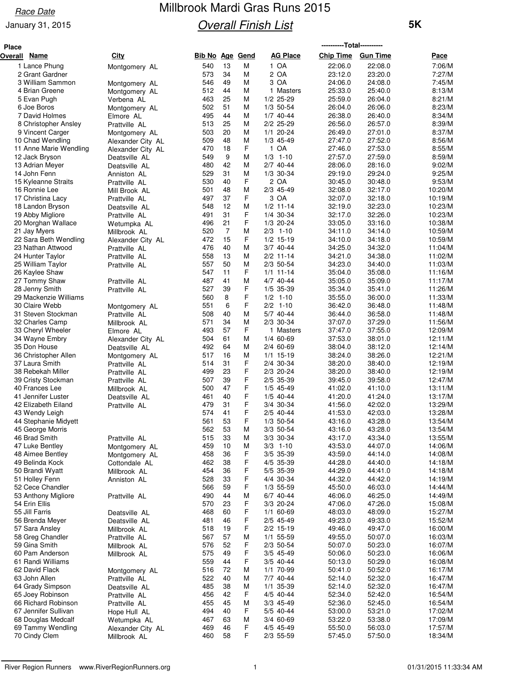#### **Race Date**

#### January 31, 2015

# Millbrook Mardi Gras Runs 2015 **Overall Finish List**

| Place   |                                        |                                |                        |          |        |                          | ----------Total---------- |                    |                    |
|---------|----------------------------------------|--------------------------------|------------------------|----------|--------|--------------------------|---------------------------|--------------------|--------------------|
| Overall | Name                                   | City                           | <b>Bib No Age Gend</b> |          |        | <b>AG Place</b>          | <b>Chip Time</b>          | <b>Gun Time</b>    | Pace               |
|         | 1 Lance Phung                          | Montgomery AL                  | 540                    | 13       | M      | 1 OA                     | 22:06.0                   | 22:08.0            | 7:06/M             |
|         | 2 Grant Gardner                        |                                | 573                    | 34       | M      | 2 OA                     | 23:12.0                   | 23:20.0            | 7:27/M             |
|         | 3 William Sammon                       | Montgomery AL                  | 546                    | 49       | М      | 3 OA                     | 24:06.0                   | 24:08.0            | 7:45/M             |
|         | 4 Brian Greene                         | Montgomery AL                  | 512                    | 44       | М      | 1 Masters                | 25:33.0                   | 25:40.0            | 8:13/M             |
|         | 5 Evan Pugh                            | Verbena AL                     | 463                    | 25<br>51 | М      | $1/2$ 25-29              | 25:59.0                   | 26:04.0            | 8:21/M<br>8:23/M   |
|         | 6 Joe Boros<br>7 David Holmes          | Montgomery AL                  | 502<br>495             | 44       | М<br>M | 1/3 50-54<br>$1/7$ 40-44 | 26:04.0<br>26:38.0        | 26:06.0<br>26:40.0 | 8:34/M             |
|         | 8 Christopher Ansley                   | Elmore AL<br>Prattville AL     | 513                    | 25       | М      | 2/2 25-29                | 26:56.0                   | 26:57.0            | 8:39/M             |
|         | 9 Vincent Carger                       | Montgomery AL                  | 503                    | 20       | M      | $1/1$ 20-24              | 26:49.0                   | 27:01.0            | 8:37/M             |
|         | 10 Chad Wendling                       | Alexander City AL              | 509                    | 48       | М      | $1/3$ 45-49              | 27:47.0                   | 27:52.0            | 8:56/M             |
|         | 11 Anne Marie Wendling                 | Alexander City AL              | 470                    | 18       | F      | 1 OA                     | 27:46.0                   | 27:53.0            | 8:55/M             |
|         | 12 Jack Bryson                         | Deatsville AL                  | 549                    | 9        | M      | $1/3$ 1-10               | 27:57.0                   | 27:59.0            | 8:59/M             |
|         | 13 Adrian Meyer                        | Deatsville AL                  | 480                    | 42       | M      | $2/7$ 40-44              | 28:06.0                   | 28:16.0            | 9:02/M             |
|         | 14 John Fenn                           | Anniston AL                    | 529                    | 31       | М      | 1/3 30-34                | 29:19.0                   | 29:24.0            | 9:25/M             |
|         | 15 Kyleanne Straits<br>16 Ronnie Lee   | Prattville AL                  | 530<br>501             | 40<br>48 | F<br>M | 2 OA<br>2/3 45-49        | 30:45.0<br>32:08.0        | 30:48.0<br>32:17.0 | 9:53/M<br>10:20/M  |
|         | 17 Christina Lacy                      | Mill Brook AL<br>Prattville AL | 497                    | 37       | F      | 3 OA                     | 32:07.0                   | 32:18.0            | 10:19/M            |
|         | 18 Landon Bryson                       | Deatsville AL                  | 548                    | 12       | М      | $1/2$ 11-14              | 32:19.0                   | 32:23.0            | 10:23/M            |
|         | 19 Abby Migliore                       | Prattville AL                  | 491                    | 31       | F      | 1/4 30-34                | 32:17.0                   | 32:26.0            | 10:23/M            |
|         | 20 Morghan Wallace                     | Wetumpka AL                    | 496                    | 21       | F      | $1/3$ 20-24              | 33:05.0                   | 33:16.0            | 10:38/M            |
|         | 21 Jay Myers                           | Millbrook AL                   | 520                    | 7        | М      | $2/3$ 1-10               | 34:11.0                   | 34:14.0            | 10:59/M            |
|         | 22 Sara Beth Wendling                  | Alexander City AL              | 472                    | 15       | F      | $1/2$ 15-19              | 34:10.0                   | 34:18.0            | 10:59/M            |
|         | 23 Nathan Attwood                      | Prattville AL                  | 476                    | 40       | М      | 3/7 40-44                | 34:25.0                   | 34:32.0            | 11:04/M            |
|         | 24 Hunter Taylor                       | Prattville AL                  | 558                    | 13<br>50 | М      | $2/2$ 11-14              | 34:21.0<br>34:23.0        | 34:38.0            | 11:02/M            |
|         | 25 William Taylor<br>26 Kaylee Shaw    | Prattville AL                  | 557<br>547             | 11       | М<br>F | 2/3 50-54<br>$1/1$ 11-14 | 35:04.0                   | 34:40.0<br>35:08.0 | 11:03/M<br>11:16/M |
|         | 27 Tommy Shaw                          | Prattville AL                  | 487                    | 41       | М      | 4/7 40-44                | 35:05.0                   | 35:09.0            | 11:17/M            |
|         | 28 Jenny Smith                         | Prattville AL                  | 527                    | 39       | F      | 1/5 35-39                | 35:34.0                   | 35:41.0            | 11:26/M            |
|         | 29 Mackenzie Williams                  |                                | 560                    | 8        | F      | $1/2$ 1-10               | 35:55.0                   | 36:00.0            | 11:33/M            |
|         | 30 Claire Webb                         | Montgomery AL                  | 551                    | 6        | F      | $2/2$ 1-10               | 36:42.0                   | 36:48.0            | 11:48/M            |
|         | 31 Steven Stockman                     | Prattville AL                  | 508                    | 40       | М      | 5/7 40-44                | 36:44.0                   | 36:58.0            | 11:48/M            |
|         | 32 Charles Camp                        | Millbrook AL                   | 571                    | 34       | М      | 2/3 30-34                | 37:07.0                   | 37:29.0            | 11:56/M            |
|         | 33 Cheryl Wheeler                      | Elmore AL                      | 493                    | 57       | F      | 1 Masters                | 37:47.0                   | 37:55.0            | 12:09/M            |
|         | 34 Wayne Embry<br>35 Don House         | Alexander City AL              | 504<br>492             | 61<br>64 | М<br>M | 1/4 60-69<br>2/4 60-69   | 37:53.0<br>38:04.0        | 38:01.0<br>38:12.0 | 12:11/M<br>12:14/M |
|         | 36 Christopher Allen                   | Deatsville AL<br>Montgomery AL | 517                    | 16       | M      | $1/1$ 15-19              | 38:24.0                   | 38:26.0            | 12:21/M            |
|         | 37 Laura Smith                         | Prattville AL                  | 514                    | 31       | F      | 2/4 30-34                | 38:20.0                   | 38:40.0            | 12:19/M            |
|         | 38 Rebekah Miller                      | Prattville AL                  | 499                    | 23       | F      | 2/3 20-24                | 38:20.0                   | 38:40.0            | 12:19/M            |
|         | 39 Cristy Stockman                     | Prattville AL                  | 507                    | 39       | F      | 2/5 35-39                | 39:45.0                   | 39:58.0            | 12:47/M            |
|         | 40 Frances Lee                         | Millbrook AL                   | 500                    | 47       | F      | $1/5$ 45-49              | 41:02.0                   | 41:10.0            | 13:11/M            |
|         | 41 Jennifer Luster                     | Deatsville AL                  | 461                    | 40       | F      | $1/5$ 40-44              | 41:20.0                   | 41:24.0            | 13:17/M            |
|         | 42 Elizabeth Eiland                    | Prattville AL                  | 479                    | 31       | F<br>F | 3/4 30-34                | 41:56.0                   | 42:02.0            | 13:29/M            |
|         | 43 Wendy Leigh<br>44 Stephanie Midyett |                                | 574<br>561             | 41<br>53 | F      | 2/5 40-44<br>1/3 50-54   | 41:53.0<br>43:16.0        | 42:03.0<br>43:28.0 | 13:28/M<br>13:54/M |
|         | 45 George Morris                       |                                | 562                    | 53       | M      | 3/3 50-54                | 43:16.0                   | 43:28.0            | 13:54/M            |
|         | 46 Brad Smith                          | Prattville AL                  | 515                    | 33       | M      | 3/3 30-34                | 43:17.0                   | 43:34.0            | 13:55/M            |
|         | 47 Luke Bentley                        | Montgomery AL                  | 459                    | 10       | M      | $3/3$ 1-10               | 43:53.0                   | 44:07.0            | 14:06/M            |
|         | 48 Aimee Bentley                       | Montgomery AL                  | 458                    | 36       | F      | $3/5$ 35-39              | 43:59.0                   | 44:14.0            | 14:08/M            |
|         | 49 Belinda Kock                        | Cottondale AL                  | 462                    | 38       | F      | 4/5 35-39                | 44:28.0                   | 44:40.0            | 14:18/M            |
|         | 50 Brandi Wyatt                        | Millbrook AL                   | 454                    | 36       | F      | 5/5 35-39                | 44:29.0                   | 44:41.0            | 14:18/M            |
|         | 51 Holley Fenn                         | Anniston AL                    | 528                    | 33       | F      | 4/4 30-34                | 44:32.0                   | 44:42.0            | 14:19/M            |
|         | 52 Cece Chandler                       |                                | 566<br>490             | 59<br>44 | F<br>М | 1/3 55-59<br>6/7 40-44   | 45:50.0<br>46:06.0        | 46:03.0<br>46:25.0 | 14:44/M<br>14:49/M |
|         | 53 Anthony Migliore<br>54 Erin Ellis   | Prattville AL                  | 570                    | 23       | F      | 3/3 20-24                | 47:06.0                   | 47:26.0            | 15:08/M            |
|         | 55 Jill Farris                         | Deatsville AL                  | 468                    | 60       | F      | 1/1 60-69                | 48:03.0                   | 48:09.0            | 15:27/M            |
|         | 56 Brenda Meyer                        | Deatsville AL                  | 481                    | 46       | F      | 2/5 45-49                | 49:23.0                   | 49:33.0            | 15:52/M            |
|         | 57 Sara Ansley                         | Millbrook AL                   | 518                    | 19       | F      | 2/2 15-19                | 49:46.0                   | 49:47.0            | 16:00/M            |
|         | 58 Greg Chandler                       | Prattville AL                  | 567                    | 57       | М      | 1/1 55-59                | 49:55.0                   | 50:07.0            | 16:03/M            |
|         | 59 Gina Smith                          | Millbrook AL                   | 576                    | 52       | F      | 2/3 50-54                | 50:07.0                   | 50:23.0            | 16:07/M            |
|         | 60 Pam Anderson                        | Millbrook AL                   | 575                    | 49       | F      | 3/5 45-49                | 50:06.0                   | 50:23.0            | 16:06/M            |
|         | 61 Randi Williams<br>62 David Flack    |                                | 559<br>516             | 44<br>72 | F<br>M | 3/5 40-44<br>1/1 70-99   | 50:13.0                   | 50:29.0<br>50:52.0 | 16:08/M<br>16:17/M |
|         | 63 John Allen                          | Montgomery AL                  | 522                    | 40       | М      | 7/7 40-44                | 50:41.0<br>52:14.0        | 52:32.0            | 16:47/M            |
|         | 64 Grady Simpson                       | Prattville AL<br>Deatsville AL | 485                    | 38       | М      | 1/1 35-39                | 52:14.0                   | 52:32.0            | 16:47/M            |
|         | 65 Joey Robinson                       | Prattville AL                  | 456                    | 42       | F      | 4/5 40-44                | 52:34.0                   | 52:42.0            | 16:54/M            |
|         | 66 Richard Robinson                    | Prattville AL                  | 455                    | 45       | М      | 3/3 45-49                | 52:36.0                   | 52:45.0            | 16:54/M            |
|         | 67 Jennifer Sullivan                   | Hope Hull AL                   | 494                    | 40       | F      | 5/5 40-44                | 53:00.0                   | 53:21.0            | 17:02/M            |
|         | 68 Douglas Medcalf                     | Wetumpka AL                    | 467                    | 63       | М      | 3/4 60-69                | 53:22.0                   | 53:38.0            | 17:09/M            |
|         | 69 Tammy Wendling                      | Alexander City AL              | 469                    | 46       | F      | 4/5 45-49                | 55:50.0                   | 56:03.0            | 17:57/M            |
|         | 70 Cindy Clem                          | Millbrook AL                   | 460                    | 58       | F.     | 2/3 55-59                | 57:45.0                   | 57:50.0            | 18:34/M            |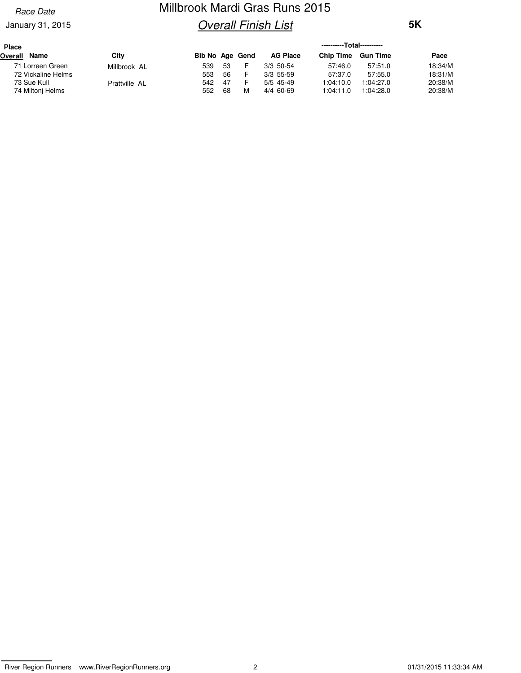#### **Race Date**

#### January 31, 2015

## Millbrook Mardi Gras Runs 2015 **Overall Finish List**

| <b>Place</b> |                    |               |                 |    |   |                 | ----------Total---------- |                 |             |
|--------------|--------------------|---------------|-----------------|----|---|-----------------|---------------------------|-----------------|-------------|
| Overall      | <b>Name</b>        | <u>City</u>   | Bib No Age Gend |    |   | <b>AG Place</b> | <b>Chip Time</b>          | <b>Gun Time</b> | <b>Pace</b> |
|              | 71 Lorreen Green   | Millbrook AL  | 539             | 53 |   | $3/3$ 50-54     | 57:46.0                   | 57:51.0         | 18:34/M     |
|              | 72 Vickaline Helms |               | 553             | 56 |   | $3/3$ 55-59     | 57:37.0                   | 57:55.0         | 18:31/M     |
|              | 73 Sue Kull        | Prattville AL | 542             | 47 |   | $5/5$ 45-49     | 1:04:10.0                 | 1:04:27.0       | 20:38/M     |
|              | 74 Miltoni Helms   |               | 552             | 68 | M | 4/4 60-69       | 1:04:11.0                 | 1:04:28.0       | 20:38/M     |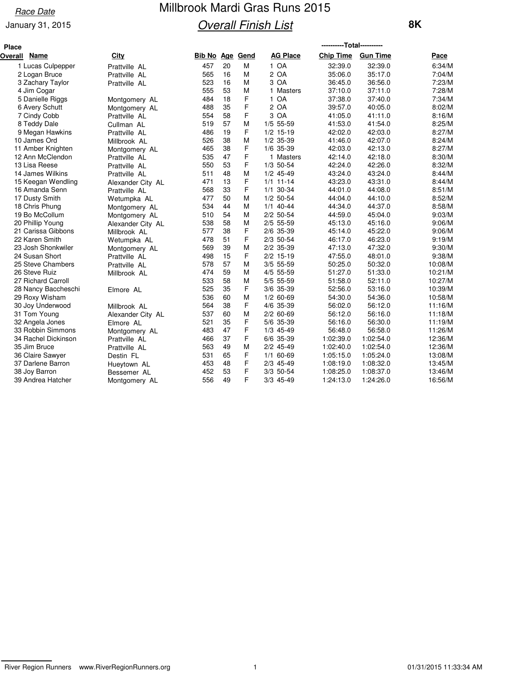#### **Race Date**

#### January 31, 2015

# Millbrook Mardi Gras Runs 2015 **Overall Finish List**

| <b>Place</b> |                     |                   |                        |    |   |                 | ----------Total---------- |                 |         |
|--------------|---------------------|-------------------|------------------------|----|---|-----------------|---------------------------|-----------------|---------|
| Overall      | Name                | <b>City</b>       | <b>Bib No Age Gend</b> |    |   | <b>AG Place</b> | <b>Chip Time</b>          | <b>Gun Time</b> | Pace    |
|              | 1 Lucas Culpepper   | Prattville AL     | 457                    | 20 | M | 1 OA            | 32:39.0                   | 32:39.0         | 6:34/M  |
|              | 2 Logan Bruce       | Prattville AL     | 565                    | 16 | M | 2 OA            | 35:06.0                   | 35:17.0         | 7:04/M  |
|              | 3 Zachary Taylor    | Prattville AL     | 523                    | 16 | М | 3 OA            | 36:45.0                   | 36:56.0         | 7:23/M  |
|              | 4 Jim Cogar         |                   | 555                    | 53 | M | 1 Masters       | 37:10.0                   | 37:11.0         | 7:28/M  |
|              | 5 Danielle Riggs    | Montgomery AL     | 484                    | 18 | F | 1 OA            | 37:38.0                   | 37:40.0         | 7:34/M  |
|              | 6 Avery Schutt      | Montgomery AL     | 488                    | 35 | F | 2 OA            | 39:57.0                   | 40:05.0         | 8:02/M  |
|              | 7 Cindy Cobb        | Prattville AL     | 554                    | 58 | F | 3 OA            | 41:05.0                   | 41:11.0         | 8:16/M  |
|              | 8 Teddy Dale        | Cullman AL        | 519                    | 57 | M | $1/5$ 55-59     | 41:53.0                   | 41:54.0         | 8:25/M  |
|              | 9 Megan Hawkins     | Prattville AL     | 486                    | 19 | F | $1/2$ 15-19     | 42:02.0                   | 42:03.0         | 8:27/M  |
|              | 10 James Ord        | Millbrook AL      | 526                    | 38 | M | $1/2$ 35-39     | 41:46.0                   | 42:07.0         | 8:24/M  |
|              | 11 Amber Knighten   | Montgomery AL     | 465                    | 38 | F | 1/6 35-39       | 42:03.0                   | 42:13.0         | 8:27/M  |
|              | 12 Ann McClendon    | Prattville AL     | 535                    | 47 | F | 1 Masters       | 42:14.0                   | 42:18.0         | 8:30/M  |
|              | 13 Lisa Reese       | Prattville AL     | 550                    | 53 | F | 1/3 50-54       | 42:24.0                   | 42:26.0         | 8:32/M  |
|              | 14 James Wilkins    | Prattville AL     | 511                    | 48 | M | $1/2$ 45-49     | 43:24.0                   | 43:24.0         | 8:44/M  |
|              | 15 Keegan Wendling  | Alexander City AL | 471                    | 13 | F | $1/1$ 11-14     | 43:23.0                   | 43:31.0         | 8:44/M  |
|              | 16 Amanda Senn      | Prattville AL     | 568                    | 33 | F | $1/1$ 30-34     | 44:01.0                   | 44:08.0         | 8:51/M  |
|              | 17 Dusty Smith      | Wetumpka AL       | 477                    | 50 | M | $1/2$ 50-54     | 44:04.0                   | 44:10.0         | 8:52/M  |
|              | 18 Chris Phung      | Montgomery AL     | 534                    | 44 | M | $1/1$ 40-44     | 44:34.0                   | 44:37.0         | 8:58/M  |
|              | 19 Bo McCollum      | Montgomery AL     | 510                    | 54 | M | $2/2$ 50-54     | 44:59.0                   | 45:04.0         | 9:03/M  |
|              | 20 Phillip Young    | Alexander City AL | 538                    | 58 | M | 2/5 55-59       | 45:13.0                   | 45:16.0         | 9:06/M  |
|              | 21 Carissa Gibbons  | Millbrook AL      | 577                    | 38 | F | 2/6 35-39       | 45:14.0                   | 45:22.0         | 9:06/M  |
|              | 22 Karen Smith      | Wetumpka AL       | 478                    | 51 | F | 2/3 50-54       | 46:17.0                   | 46:23.0         | 9:19/M  |
|              | 23 Josh Shonkwiler  | Montgomery AL     | 569                    | 39 | M | 2/2 35-39       | 47:13.0                   | 47:32.0         | 9:30/M  |
|              | 24 Susan Short      | Prattville AL     | 498                    | 15 | F | $2/2$ 15-19     | 47:55.0                   | 48:01.0         | 9:38/M  |
|              | 25 Steve Chambers   | Prattville AL     | 578                    | 57 | M | $3/5$ 55-59     | 50:25.0                   | 50:32.0         | 10:08/M |
|              | 26 Steve Ruiz       | Millbrook AL      | 474                    | 59 | M | 4/5 55-59       | 51:27.0                   | 51:33.0         | 10:21/M |
|              | 27 Richard Carroll  |                   | 533                    | 58 | M | 5/5 55-59       | 51:58.0                   | 52:11.0         | 10:27/M |
|              | 28 Nancy Baccheschi | Elmore AL         | 525                    | 35 | F | 3/6 35-39       | 52:56.0                   | 53:16.0         | 10:39/M |
|              | 29 Roxy Wisham      |                   | 536                    | 60 | M | $1/2$ 60-69     | 54:30.0                   | 54:36.0         | 10:58/M |
|              | 30 Joy Underwood    | Millbrook AL      | 564                    | 38 | F | 4/6 35-39       | 56:02.0                   | 56:12.0         | 11:16/M |
|              | 31 Tom Young        | Alexander City AL | 537                    | 60 | M | $2/2$ 60-69     | 56:12.0                   | 56:16.0         | 11:18/M |
|              | 32 Angela Jones     | Elmore AL         | 521                    | 35 | F | 5/6 35-39       | 56:16.0                   | 56:30.0         | 11:19/M |
|              | 33 Robbin Simmons   | Montgomery AL     | 483                    | 47 | F | $1/3$ 45-49     | 56:48.0                   | 56:58.0         | 11:26/M |
|              | 34 Rachel Dickinson | Prattville AL     | 466                    | 37 | F | 6/6 35-39       | 1:02:39.0                 | 1:02:54.0       | 12:36/M |
|              | 35 Jim Bruce        | Prattville AL     | 563                    | 49 | M | $2/2$ 45-49     | 1:02:40.0                 | 1:02:54.0       | 12:36/M |
|              | 36 Claire Sawyer    | Destin FL         | 531                    | 65 | F | $1/1$ 60-69     | 1:05:15.0                 | 1:05:24.0       | 13:08/M |
|              | 37 Darlene Barron   | Hueytown AL       | 453                    | 48 | F | 2/3 45-49       | 1:08:19.0                 | 1:08:32.0       | 13:45/M |
|              | 38 Joy Barron       | Bessemer AL       | 452                    | 53 | F | $3/3$ 50-54     | 1:08:25.0                 | 1:08:37.0       | 13:46/M |
|              | 39 Andrea Hatcher   | Montgomery AL     | 556                    | 49 | F | 3/3 45-49       | 1:24:13.0                 | 1:24:26.0       | 16:56/M |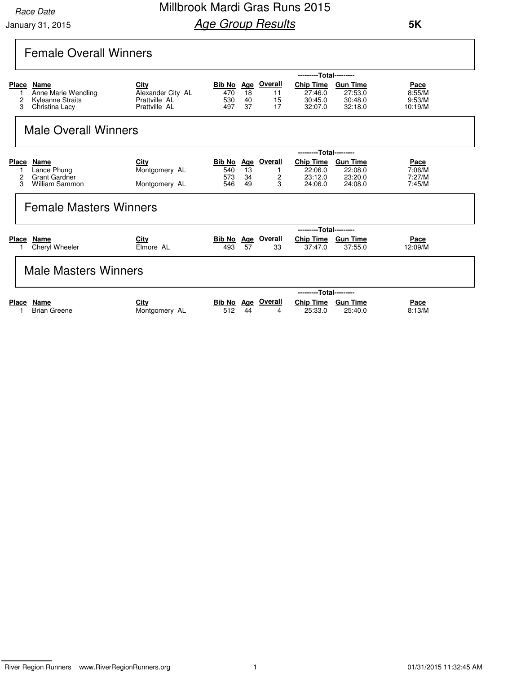### Millbrook Mardi Gras Runs 2015 **Age Group Results**

 **5K**

### Female Overall Winners

|       |                               |                   |                   |     |                | ---------Total--------- |                 |         |
|-------|-------------------------------|-------------------|-------------------|-----|----------------|-------------------------|-----------------|---------|
| Place | Name                          | City              | <u>Bib No Age</u> |     | <b>Overall</b> | <b>Chip Time</b>        | <b>Gun Time</b> | Pace    |
|       | Anne Marie Wendling           | Alexander City AL | 470               | 18  | 11             | 27:46.0                 | 27:53.0         | 8:55/M  |
| 2     | Kyleanne Straits              | Prattville AL     | 530               | 40  | 15             | 30:45.0                 | 30:48.0         | 9:53/M  |
| 3     | Christina Lacy                | Prattville AL     | 497               | 37  | 17             | 32:07.0                 | 32:18.0         | 10:19/M |
|       | <b>Male Overall Winners</b>   |                   |                   |     |                |                         |                 |         |
|       |                               |                   |                   |     |                | ---------Total--------- |                 |         |
| Place | Name                          | City              | Bib No            |     | Age Overall    | <b>Chip Time</b>        | <b>Gun Time</b> | Pace    |
|       | Lance Phung                   | Montgomery AL     | 540               | 13  |                | 22:06.0                 | 22:08.0         | 7:06/M  |
| 2     | <b>Grant Gardner</b>          |                   | 573               | 34  | 2              | 23:12.0                 | 23:20.0         | 7:27/M  |
| 3     | William Sammon                | Montgomery AL     | 546               | 49  | 3              | 24:06.0                 | 24:08.0         | 7:45/M  |
|       | <b>Female Masters Winners</b> |                   |                   |     |                |                         |                 |         |
|       |                               |                   |                   |     |                | ---------Total--------- |                 |         |
| Place | Name                          | City              | Bib No            | Age | Overall        | <b>Chip Time</b>        | <b>Gun Time</b> | Pace    |
|       | Cheryl Wheeler                | Elmore AL         | 493               | 57  | 33             | 37:47.0                 | 37:55.0         | 12:09/M |
|       |                               |                   |                   |     |                |                         |                 |         |

#### Male Masters Winners

|                     |               |     |    |                    | ---------Total--------- |          |             |
|---------------------|---------------|-----|----|--------------------|-------------------------|----------|-------------|
| Place Name          | <u>City</u>   |     |    | Bib No Age Overall | <b>Chip Time</b>        | Gun Time | <b>Pace</b> |
| <b>Brian Greene</b> | Montgomery AL | 512 | 44 |                    | 25:33.0                 | 25:40.0  | 8:13/M      |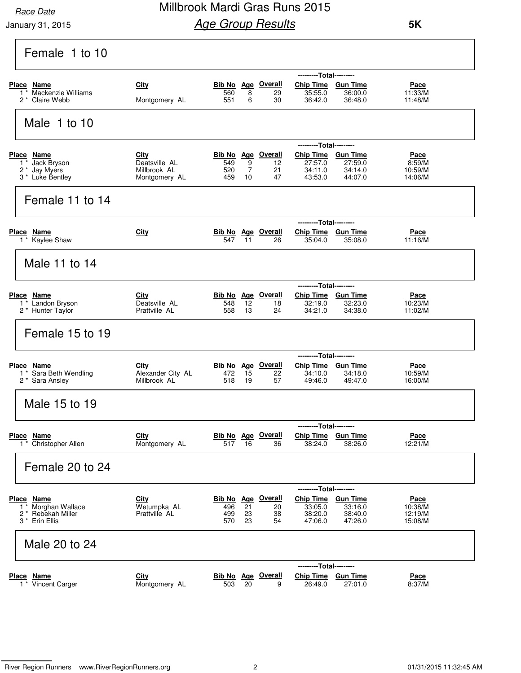### Millbrook Mardi Gras Runs 2015 **Age Group Results**

| Female 1 to 10                                                            |                                                        |                                                |                           |                |                                                                                |                                                            |                                              |
|---------------------------------------------------------------------------|--------------------------------------------------------|------------------------------------------------|---------------------------|----------------|--------------------------------------------------------------------------------|------------------------------------------------------------|----------------------------------------------|
| Place Name<br>Mackenzie Williams<br>2 <sup>*</sup> Claire Webb            | City<br>Montgomery AL                                  | Bib No Age Overall<br>560<br>551               | 8<br>6                    | 29<br>30       | ---------Total---------<br>Chip Time Gun Time<br>35:55.0<br>36:42.0            | 36:00.0<br>36:48.0                                         | Pace<br>11:33/M<br>11:48/M                   |
| Male 1 to 10                                                              |                                                        |                                                |                           |                |                                                                                |                                                            |                                              |
| Place Name<br>1 * Jack Bryson<br>2 * Jay Myers<br>3 * Luke Bentley        | City<br>Deatsville AL<br>Millbrook AL<br>Montgomery AL | <b>Bib No Age Overall</b><br>549<br>520<br>459 | 9<br>$\overline{7}$<br>10 | 12<br>21<br>47 | ---------Total---------<br>Chip Time Gun Time<br>27:57.0<br>34:11.0<br>43:53.0 | 27:59.0<br>34:14.0<br>44:07.0                              | Pace<br>8:59/M<br>10:59/M<br>14:06/M         |
| Female 11 to 14                                                           |                                                        |                                                |                           |                |                                                                                |                                                            |                                              |
| Place Name<br>1 * Kaylee Shaw                                             | City                                                   | <b>Bib No Age Overall</b><br>547               | 11                        | 26             | ---------Total---------<br>Chip Time Gun Time<br>35:04.0                       | 35:08.0                                                    | Pace<br>11:16/M                              |
| Male 11 to 14                                                             |                                                        |                                                |                           |                |                                                                                |                                                            |                                              |
| Place Name<br>$1*$ Landon Bryson<br>2 * Hunter Taylor                     | City<br>Deatsville AL<br>Prattville AL                 | Bib No Age Overall<br>548<br>558               | 12<br>13                  | 18<br>24       | ---------Total---------<br>Chip Time Gun Time<br>32:19.0<br>34:21.0            | 32:23.0<br>34:38.0                                         | <u>Pace</u><br>10:23/M<br>11:02/M            |
| Female 15 to 19                                                           |                                                        |                                                |                           |                |                                                                                |                                                            |                                              |
| <b>Place Name</b><br>1 <sup>*</sup> Sara Beth Wendling<br>2 * Sara Ansley | <u>City</u><br>Alexander City AL<br>Millbrook AL       | Bib No Age Overall<br>472<br>518               | 15<br>19                  | 22<br>57       | ------<br><b>Chip Time</b><br>34:10.0<br>49:46.0                               | ---Total---------<br><b>Gun Time</b><br>34:18.0<br>49:47.0 | <u>Pace</u><br>10:59/M<br>16:00/M            |
| Male 15 to 19                                                             |                                                        |                                                |                           |                |                                                                                |                                                            |                                              |
| Place Name<br>1 * Christopher Allen                                       | City<br>Montgomery AL                                  | <b>Bib No</b> Age Overall<br>517 16            |                           | 36             | ---------Total---------<br>Chip Time Gun Time<br>38:24.0                       | 38:26.0                                                    | <u>Pace</u><br>12:21/M                       |
| Female 20 to 24                                                           |                                                        |                                                |                           |                |                                                                                |                                                            |                                              |
| Place Name<br>1 * Morghan Wallace<br>2 * Rebekah Miller<br>3 * Erin Ellis | <b>City</b><br>Wetumpka AL<br>Prattville AL            | Bib No Age Overall<br>496<br>499<br>570        | 21<br>23<br>23            | 20<br>38<br>54 | ---------Total---------<br><b>Chip Time</b><br>33:05.0<br>38:20.0<br>47:06.0   | <u>Gun Time</u><br>33:16.0<br>38:40.0<br>47:26.0           | <u>Pace</u><br>10:38/M<br>12:19/M<br>15:08/M |
| Male 20 to 24                                                             |                                                        |                                                |                           |                |                                                                                |                                                            |                                              |
| <b>Place Name</b><br>1 <sup>*</sup> Vincent Carger                        | City<br>Montgomery AL                                  | <b>Bib No</b> Age Overall<br>503               | 20                        | 9              | ---------Total---------<br>Chip Time Gun Time<br>26:49.0                       | 27:01.0                                                    | <u>Pace</u><br>8:37/M                        |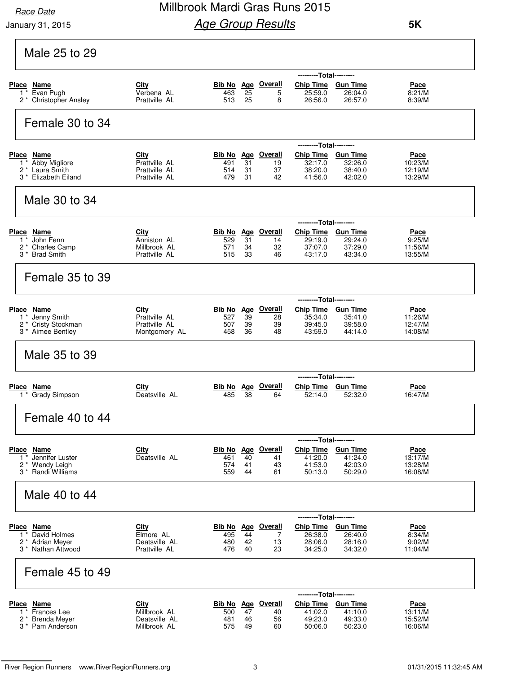### Millbrook Mardi Gras Runs 2015 **Age Group Results**

| Male 25 to 29                                                                                          |                                                                |                   |                |                                             |                                                                                |                               |                                              |
|--------------------------------------------------------------------------------------------------------|----------------------------------------------------------------|-------------------|----------------|---------------------------------------------|--------------------------------------------------------------------------------|-------------------------------|----------------------------------------------|
| Place Name<br>Evan Pugh<br>$1^*$<br>2 * Christopher Ansley                                             | City<br>Verbena AL<br>Prattville AL                            | 463<br>513        | 25<br>25       | <b>Bib No</b> Age Overall<br>5<br>8         | ---------Total---------<br>Chip Time Gun Time<br>25:59.0<br>26:56.0            | 26:04.0<br>26:57.0            | Pace<br>8:21/M<br>8:39/M                     |
| Female 30 to 34                                                                                        |                                                                |                   |                |                                             |                                                                                |                               |                                              |
| Place Name<br>Abby Migliore<br>$1^*$<br>2 <sup>*</sup> Laura Smith<br>3 <sup>*</sup> Elizabeth Eiland  | <b>City</b><br>Prattville AL<br>Prattville AL<br>Prattville AL | 491<br>514<br>479 | 31<br>31<br>31 | <b>Bib No</b> Age Overall<br>19<br>37<br>42 | ---------Total---------<br>Chip Time Gun Time<br>32:17.0<br>38:20.0<br>41:56.0 | 32:26.0<br>38:40.0<br>42:02.0 | <u>Pace</u><br>10:23/M<br>12:19/M<br>13:29/M |
| Male 30 to 34                                                                                          |                                                                |                   |                |                                             |                                                                                |                               |                                              |
| Place Name<br>John Fenn<br>$1^*$<br>2 <sup>*</sup> Charles Camp<br>3 <sup>*</sup> Brad Smith           | City<br>Anniston AL<br>Millbrook AL<br>Prattville AL           | 529<br>571<br>515 | 31<br>34<br>33 | <b>Bib No</b> Age Overall<br>14<br>32<br>46 | ---------Total---------<br>Chip Time Gun Time<br>29:19.0<br>37:07.0<br>43:17.0 | 29:24.0<br>37:29.0<br>43:34.0 | <u>Pace</u><br>9:25/M<br>11:56/M<br>13:55/M  |
| Female 35 to 39                                                                                        |                                                                |                   |                |                                             |                                                                                |                               |                                              |
| <b>Place Name</b><br>1 <sup>*</sup> Jenny Smith<br>2 * Cristy Stockman<br>3 <sup>*</sup> Aimee Bentley | City<br>Prattville AL<br>Prattville AL<br>Montgomery AL        | 527<br>507<br>458 | 39<br>39<br>36 | <b>Bib No</b> Age Overall<br>28<br>39<br>48 | ---------Total---------<br>Chip Time Gun Time<br>35:34.0<br>39:45.0<br>43:59.0 | 35:41.0<br>39:58.0<br>44:14.0 | <u>Pace</u><br>11:26/M<br>12:47/M<br>14:08/M |
| Male 35 to 39                                                                                          |                                                                |                   |                |                                             |                                                                                |                               |                                              |
| Place Name<br>1 <sup>*</sup> Grady Simpson                                                             | City<br>Deatsville AL                                          | 485               | 38             | Bib No Age Overall<br>64                    | ---------Total---------<br><b>Chip Time</b><br>52:14.0                         | <b>Gun Time</b><br>52:32.0    | <u>Pace</u><br>16:47/M                       |
| Female 40 to 44                                                                                        |                                                                |                   |                |                                             |                                                                                |                               |                                              |
| Place Name<br>Jennifer Luster<br>$1^*$<br>2 * Wendy Leigh<br>3 <sup>*</sup> Randi Williams             | City<br>Deatsville AL                                          | 461<br>574<br>559 | 40<br>41<br>44 | <b>Bib No Age Overall</b><br>41<br>43<br>61 | ---------Total---------<br>Chip Time Gun Time<br>41:20.0<br>41:53.0<br>50:13.0 | 41:24.0<br>42:03.0<br>50:29.0 | Pace<br>13:17/M<br>13:28/M<br>16:08/M        |
| Male 40 to 44                                                                                          |                                                                |                   |                |                                             |                                                                                |                               |                                              |
| Place Name<br>David Holmes<br>$1^*$<br>2 <sup>*</sup> Adrian Meyer<br>3 <sup>*</sup> Nathan Attwood    | <b>City</b><br>Elmore AL<br>Deatsville AL<br>Prattville AL     | 495<br>480<br>476 | 44<br>42<br>40 | <b>Bib No</b> Age Overall<br>7<br>13<br>23  | ---------Total---------<br>Chip Time Gun Time<br>26:38.0<br>28:06.0<br>34:25.0 | 26:40.0<br>28:16.0<br>34:32.0 | <u>Pace</u><br>8:34/M<br>9:02/M<br>11:04/M   |
| Female 45 to 49                                                                                        |                                                                |                   |                |                                             |                                                                                |                               |                                              |
| Place Name<br>Frances Lee<br>$1^*$<br>2 * Brenda Meyer<br>3 * Pam Anderson                             | City<br>Millbrook AL<br>Deatsville AL<br>Millbrook AL          | 500<br>481<br>575 | 47<br>46<br>49 | <b>Bib No Age Overall</b><br>40<br>56<br>60 | ---------Total---------<br>Chip Time Gun Time<br>41:02.0<br>49:23.0<br>50:06.0 | 41:10.0<br>49:33.0<br>50:23.0 | <u>Pace</u><br>13:11/M<br>15:52/M<br>16:06/M |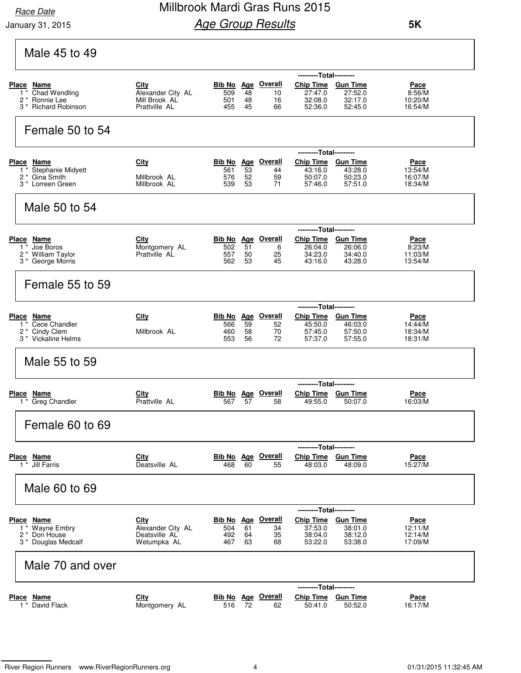### Millbrook Mardi Gras Runs 2015 **Age Group Results**

| Male 45 to 49                                                                                 |                                                                  |                   |                |                                             |                                                                              |                                                  |                                              |
|-----------------------------------------------------------------------------------------------|------------------------------------------------------------------|-------------------|----------------|---------------------------------------------|------------------------------------------------------------------------------|--------------------------------------------------|----------------------------------------------|
| Place Name<br>Chad Wendling<br>1<br>$2*$<br>Ronnie Lee<br><b>Richard Robinson</b><br>3 *      | City<br>Alexander City AL<br>Mill Brook AL<br>Prattville AL      | 509<br>501<br>455 | 48<br>48<br>45 | Bib No Age Overall<br>10<br>16<br>66        | ---------Total---------<br><b>Chip Time</b><br>27:47.0<br>32:08.0<br>52:36.0 | <b>Gun Time</b><br>27:52.0<br>32:17.0<br>52:45.0 | Pace<br>8:56/M<br>10:20/M<br>16:54/M         |
| Female 50 to 54                                                                               |                                                                  |                   |                |                                             |                                                                              |                                                  |                                              |
| Place Name<br>Stephanie Midyett<br>$1^*$                                                      | <b>City</b>                                                      | 561               | 53             | Bib No Age Overall<br>44                    | ---------Total---------<br>Chip Time Gun Time<br>43:16.0                     | 43:28.0                                          | <u>Pace</u><br>13:54/M                       |
| 2 <sup>*</sup> Gina Smith<br>3 <sup>*</sup> Lorreen Green                                     | Millbrook AL<br>Millbrook AL                                     | 576<br>539        | 52<br>53       | 59<br>71                                    | 50:07.0<br>57:46.0                                                           | 50:23.0<br>57:51.0                               | 16:07/M<br>18:34/M                           |
| Male 50 to 54                                                                                 |                                                                  |                   |                |                                             |                                                                              |                                                  |                                              |
|                                                                                               |                                                                  |                   |                |                                             | ---------Total---------                                                      |                                                  |                                              |
| Place Name<br>Joe Boros<br>$1^*$<br>2 * William Taylor<br>3 <sup>*</sup> George Morris        | <b>City</b><br>Montgomery AL<br>Prattville AL                    | 502<br>557<br>562 | 51<br>50<br>53 | <b>Bib No Age Overall</b><br>6<br>25<br>45  | Chip Time Gun Time<br>26:04.0<br>34:23.0<br>43:16.0                          | 26:06.0<br>34:40.0<br>43:28.0                    | Pace<br>8:23/M<br>11:03/M<br>13:54/M         |
| Female 55 to 59                                                                               |                                                                  |                   |                |                                             |                                                                              |                                                  |                                              |
|                                                                                               |                                                                  |                   |                |                                             | ---------Total---------                                                      |                                                  |                                              |
| Place Name<br>Cece Chandler<br>$1^*$<br>$2^*$<br>Cindy Clem<br>3 <sup>*</sup> Vickaline Helms | City<br>Millbrook AL                                             | 566<br>460<br>553 | 59<br>58<br>56 | <b>Bib No</b> Age Overall<br>52<br>70<br>72 | Chip Time Gun Time<br>45:50.0<br>57:45.0<br>57:37.0                          | 46:03.0<br>57:50.0<br>57:55.0                    | Pace<br>14:44/M<br>18:34/M<br>18:31/M        |
| Male 55 to 59                                                                                 |                                                                  |                   |                |                                             |                                                                              |                                                  |                                              |
|                                                                                               |                                                                  |                   |                |                                             |                                                                              | --Total---------                                 |                                              |
| <u>Name</u><br><u>Place</u><br>$1*$ Greg Chandler                                             | <u>City</u><br>Prattville AL                                     | 567               | 57             | <b>Bib No</b> Age Overall<br>58             | <b>Chip Time</b><br>49:55.0                                                  | <b>Gun Time</b><br>50:07.0                       | <u>Pace</u><br>16:03/M                       |
| Female 60 to 69                                                                               |                                                                  |                   |                |                                             |                                                                              |                                                  |                                              |
|                                                                                               |                                                                  |                   |                |                                             | ---------Total---------                                                      |                                                  |                                              |
| Place Name<br>$\overline{1}$ Jill Farris                                                      | City<br>Deatsville AL                                            | 468               | 60             | <b>Bib No</b> Age Overall<br>55             | Chip Time Gun Time<br>48:03.0                                                | 48:09.0                                          | Pace<br>15:27/M                              |
| Male 60 to 69                                                                                 |                                                                  |                   |                |                                             |                                                                              |                                                  |                                              |
|                                                                                               |                                                                  |                   |                |                                             | ---------Total---------                                                      |                                                  |                                              |
| Place Name<br>Wayne Embry<br>$1^*$<br>2 * Don House<br>3 * Douglas Medcalf                    | <b>City</b><br>Alexander City AL<br>Deatsville AL<br>Wetumpka AL | 504<br>492<br>467 | 61<br>64<br>63 | <b>Bib No Age Overall</b><br>34<br>35<br>68 | Chip Time Gun Time<br>37:53.0<br>38:04.0<br>53:22.0                          | 38:01.0<br>38:12.0<br>53:38.0                    | <u>Pace</u><br>12:11/M<br>12:14/M<br>17:09/M |
| Male 70 and over                                                                              |                                                                  |                   |                |                                             |                                                                              |                                                  |                                              |
|                                                                                               |                                                                  |                   |                |                                             | ---------Total---------                                                      |                                                  |                                              |
| Place Name<br>1 * David Flack                                                                 | City<br>Montgomery AL                                            | 516               | 72             | <b>Bib No</b> Age Overall<br>62             | Chip Time Gun Time<br>50:41.0                                                | 50:52.0                                          | <u>Pace</u><br>16:17/M                       |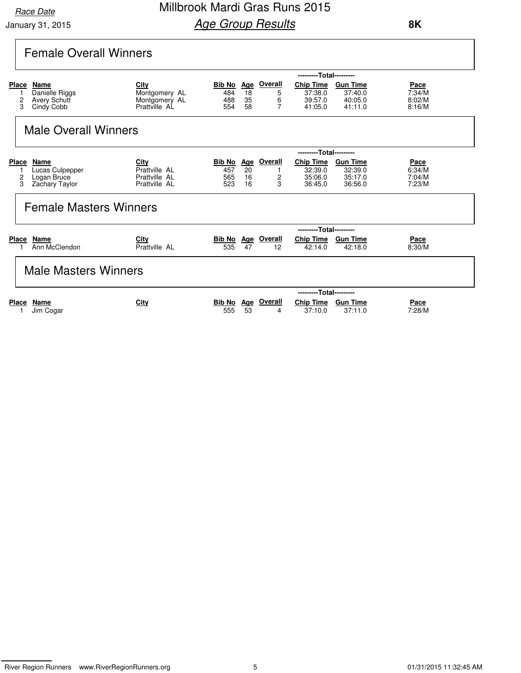### Millbrook Mardi Gras Runs 2015 **Age Group Results**

| <b>Female Overall Winners</b> |  |
|-------------------------------|--|
|-------------------------------|--|

|                        |                                                             |                                                         |                             |                              |                               | ---------Total---------                    |                                                  |                                    |
|------------------------|-------------------------------------------------------------|---------------------------------------------------------|-----------------------------|------------------------------|-------------------------------|--------------------------------------------|--------------------------------------------------|------------------------------------|
| <b>Place</b><br>2<br>3 | Name<br>Danielle Riggs<br><b>Avery Schutt</b><br>Cindy Cobb | City<br>Montgomery AL<br>Montgomery AL<br>Prattville AL | Bib No<br>484<br>488<br>554 | <u>Age</u><br>18<br>35<br>58 | <b>Overall</b><br>5<br>6<br>7 | Chip Time<br>37:38.0<br>39:57.0<br>41:05.0 | <b>Gun Time</b><br>37:40.0<br>40:05.0<br>41:11.0 | Pace<br>7:34/M<br>8:02/M<br>8:16/M |
|                        | <b>Male Overall Winners</b>                                 |                                                         |                             |                              |                               | ---------Total---------                    |                                                  |                                    |
| <b>Place</b>           | Name                                                        | <u>City</u>                                             | Bib No                      | <u>Age</u>                   | Overall                       | <b>Chip Time</b>                           | <b>Gun Time</b>                                  | <b>Pace</b>                        |
|                        | Lucas Culpepper                                             | Prattville AL                                           | 457                         | 20                           |                               | 32:39.0                                    | 32:39.0                                          | 6:34/M                             |
| 2<br>3                 | Logan Bruce<br>Zachary Taylor                               | Prattville AL<br>Prattville AL                          | 565<br>523                  | 16<br>16                     | $\frac{2}{3}$                 | 35:06.0<br>36:45.0                         | 35:17.0<br>36:56.0                               | 7:04/M<br>7:23/M                   |

| Ann McClendon        | Prattville AL | 535 | 47<br>12                  | 42:14.0                 | 42:18.0         | 8:30/M      |  |
|----------------------|---------------|-----|---------------------------|-------------------------|-----------------|-------------|--|
| Male Masters Winners |               |     |                           |                         |                 |             |  |
|                      |               |     |                           | ---------Total--------- |                 |             |  |
| Place<br>Name        | <u>City</u>   |     | <b>Bib No Age Overall</b> | <b>Chip Time</b>        | <b>Gun Time</b> | <u>Pace</u> |  |
| Jim Cogar            |               | 555 | -53<br>4                  | 37:10.0                 | 37:11.0         | 7:28/M      |  |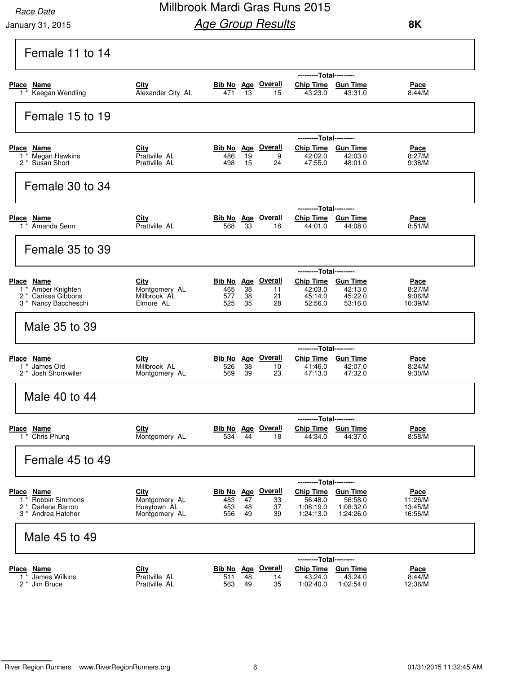### Millbrook Mardi Gras Runs 2015 **Age Group Results**

| Female 11 to 14                                                 |                                |                    |            |                           |                         |                      |                    |
|-----------------------------------------------------------------|--------------------------------|--------------------|------------|---------------------------|-------------------------|----------------------|--------------------|
|                                                                 |                                |                    |            |                           | ---------Total--------- |                      |                    |
| Place Name                                                      | City                           |                    |            | <b>Bib No</b> Age Overall | Chip Time Gun Time      |                      | <u>Pace</u>        |
| 1 <sup>*</sup> Keegan Wendling                                  | Alexander City AL              | 471                | 13         | 15                        | 43:23.0                 | 43:31.0              | 8:44/M             |
| Female 15 to 19                                                 |                                |                    |            |                           |                         |                      |                    |
|                                                                 |                                |                    |            |                           | ---------Total--------- |                      |                    |
| Place Name                                                      | City                           |                    |            | <b>Bib No</b> Age Overall | Chip Time Gun Time      |                      | <u>Pace</u>        |
| 1 <sup>*</sup> Megan Hawkins<br>2 <sup>*</sup> Susan Short      | Prattville AL<br>Prattville AL | 486<br>498         | 19<br>15   | 9<br>24                   | 42:02.0<br>47:55.0      | 42:03.0<br>48:01.0   | 8:27/M<br>9:38/M   |
|                                                                 |                                |                    |            |                           |                         |                      |                    |
| Female 30 to 34                                                 |                                |                    |            |                           |                         |                      |                    |
|                                                                 |                                |                    |            |                           | ---------Total--------- |                      |                    |
| Place Name                                                      | City                           |                    |            | <b>Bib No Age Overall</b> | Chip Time Gun Time      |                      | Pace               |
| 1 <sup>*</sup> Amanda Senn                                      | Prattville AL                  | 568                | 33         | 16                        | 44:01.0                 | 44:08.0              | 8:51/M             |
| Female 35 to 39                                                 |                                |                    |            |                           |                         |                      |                    |
|                                                                 |                                |                    |            |                           | ---------Total--------- |                      |                    |
| Place Name                                                      | City                           |                    |            | Bib No Age Overall        | Chip Time Gun Time      |                      | <u>Pace</u>        |
| 1 <sup>*</sup> Amber Knighten<br>2 <sup>*</sup> Carissa Gibbons | Montgomery AL<br>Millbrook AL  | 465<br>577         | 38<br>38   | 11<br>21                  | 42:03.0<br>45:14.0      | 42:13.0<br>45:22.0   | 8:27/M<br>9:06/M   |
| 3 * Nancy Baccheschi                                            | Elmore AL                      | 525                | 35         | 28                        | 52:56.0                 | 53:16.0              | 10:39/M            |
| Male 35 to 39                                                   |                                |                    |            |                           |                         |                      |                    |
|                                                                 |                                |                    |            |                           | ---------Total--------- |                      |                    |
| Place Name                                                      | City                           |                    |            | <b>Bib No Age Overall</b> | Chip Time Gun Time      |                      | Pace               |
| $1 *$ James Ord<br>2 <sup>*</sup> Josh Shonkwiler               | Millbrook AL<br>Montgomery AL  | 526<br>569         | 38<br>39   | 10<br>23                  | 41:46.0<br>47:13.0      | 42:07.0<br>47:32.0   | 8:24/M<br>9:30/M   |
|                                                                 |                                |                    |            |                           |                         |                      |                    |
| Male 40 to 44                                                   |                                |                    |            |                           |                         |                      |                    |
|                                                                 |                                |                    |            |                           | ---------Total--------- |                      |                    |
| Place Name                                                      | City                           | Bib No Age         |            | <b>Overall</b>            | <b>Chip Time</b>        | <b>Gun Time</b>      | <u>Pace</u>        |
| $1 *$ Chris Phung                                               | Montgomery AL                  | 534                | 44         | 18                        | 44:34.0                 | 44:37.0              | 8:58/M             |
| Female 45 to 49                                                 |                                |                    |            |                           |                         |                      |                    |
|                                                                 |                                |                    |            |                           | ---------Total--------- |                      |                    |
| Place Name                                                      | City                           | <u>Bib No</u>      | <u>Age</u> | <u>Overall</u>            | <b>Chip Time</b>        | <b>Gun Time</b>      | <u>Pace</u>        |
| Robbin Simmons<br>$1^*$<br>2 * Darlene Barron                   | Montgomery AL<br>Hueytown AL   | 483<br>453         | 47<br>48   | 33<br>37                  | 56:48.0<br>1:08:19.0    | 56:58.0<br>1:08:32.0 | 11:26/M<br>13:45/M |
| 3 * Andrea Hatcher                                              | Montgomery AL                  | 556                | 49         | 39                        | 1:24:13.0               | 1:24:26.0            | 16:56/M            |
| Male 45 to 49                                                   |                                |                    |            |                           |                         |                      |                    |
|                                                                 |                                |                    |            |                           | ------                  | ----Total---------   |                    |
| <b>Place Name</b>                                               | City                           | Bib No Age Overall |            |                           | <b>Chip Time</b>        | <b>Gun Time</b>      | <u>Pace</u>        |
| James Wilkins<br>$1^*$<br>2 <sup>*</sup> Jim Bruce              | Prattville AL<br>Prattville AL | 511<br>563         | 48<br>49   | 14<br>35                  | 43:24.0<br>1:02:40.0    | 43:24.0<br>1:02:54.0 | 8:44/M<br>12:36/M  |
|                                                                 |                                |                    |            |                           |                         |                      |                    |